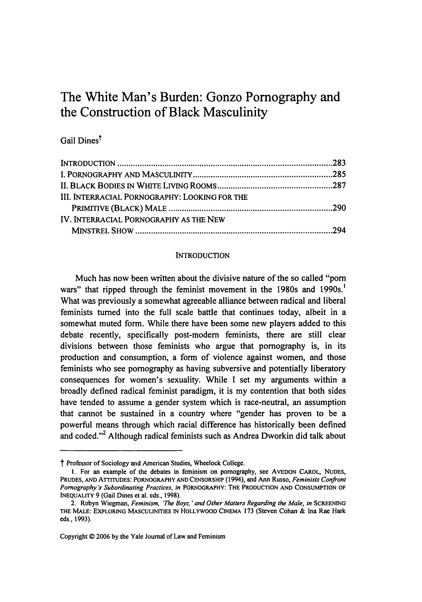# The White Man's Burden: Gonzo Pornography and the Construction of Black Masculinity

# Gail Dines<sup>t</sup>

| III. INTERRACIAL PORNOGRAPHY: LOOKING FOR THE |  |
|-----------------------------------------------|--|
|                                               |  |
| IV. INTERRACIAL PORNOGRAPHY AS THE NEW        |  |
|                                               |  |

### **INTRODUCTION**

Much has now been written about the divisive nature of the so called "porn wars" that ripped through the feminist movement in the 1980s and 1990s.<sup>1</sup> What was previously a somewhat agreeable alliance between radical and liberal feminists turned into the full scale battle that continues today, albeit in a somewhat muted form. While there have been some new players added to this debate recently, specifically post-modem feminists, there are still clear divisions between those feminists who argue that pornography is, in its production and consumption, a form of violence against women, and those feminists who see pornography as having subversive and potentially liberatory consequences for women's sexuality. While I set my arguments within a broadly defined radical feminist paradigm, it is my contention that both sides have tended to assume a gender system which is race-neutral, an assumption that cannot be sustained in a country where "gender has proven to be a powerful means through which racial difference has historically been defined and coded."2 Although radical feminists such as Andrea Dworkin did talk about

Professor of Sociology and American Studies, Wheelock College.

**<sup>1.</sup>** For an example of the debates in feminism on pornography, see **AVEDON** CAROL, **NUDES,** PRUDES, **AND** ATTITUDES: PORNOGRAPHY **AND CENSORSHIP** (1994), and Ann Russo, *Feminists Confront Pornography's Subordinating Practices, in* PORNOGRAPHY: THE **PRODUCTION AND CONSUMPTION OF** INEQUALITY 9 (Gail Dines et al. eds., 1998).

<sup>2.</sup> Robyn Wiegman, *Feminism, 'The Boyz, 'and Other Matters* Regarding *the Male, in* SCREENING **THE MALE:** EXPLORING **MASCULINITIES IN** HOLLYWOOD CINEMA **173** (Steven Cohan & Ina Rae Hark eds., 1993).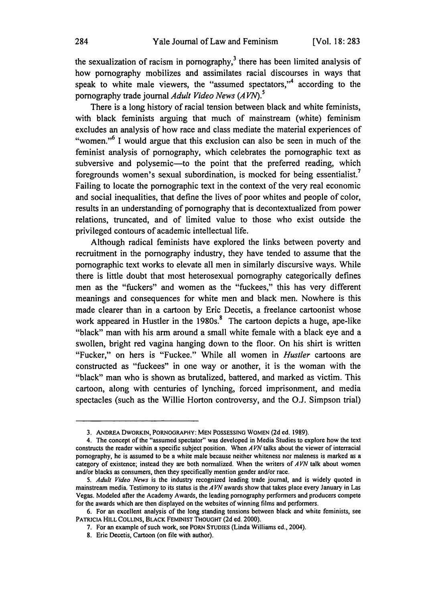the sexualization of racism in pornography,<sup>3</sup> there has been limited analysis of how pornography mobilizes and assimilates racial discourses in ways that speak to white male viewers, the "assumed spectators, $v<sup>4</sup>$  according to the pornography trade journal *Adult Video News (A* **VN).5**

There is a long history of racial tension between black and white feminists, with black feminists arguing that much of mainstream (white) feminism excludes an analysis of how race and class mediate the material experiences of "women."<sup>6</sup> I would argue that this exclusion can also be seen in much of the feminist analysis of pornography, which celebrates the pornographic text as subversive and polysemic—to the point that the preferred reading, which foregrounds women's sexual subordination, is mocked for being essentialist.<sup>7</sup> Failing to locate the pornographic text in the context of the very real economic and social inequalities, that define the lives of poor whites and people of color, results in an understanding of pornography that is decontextualized from power relations, truncated, and of limited value to those who exist outside the privileged contours of academic intellectual life.

Although radical feminists have explored the links between poverty and recruitment in the pornography industry, they have tended to assume that the pornographic text works to elevate all men in similarly discursive ways. While there is little doubt that most heterosexual pornography categorically defines men as the "fuckers" and women as the "fuckees," this has very different meanings and consequences for white men and black men. Nowhere is this made clearer than in a cartoon by Eric Decetis, a freelance cartoonist whose work appeared in Hustler in the  $1980s$ .<sup>8</sup> The cartoon depicts a huge, ape-like "black" man with his arm around a small white female with a black eye and a swollen, bright red vagina hanging down to the floor. On his shirt is written "Fucker," on hers is "Fuckee." While all women in *Hustler* cartoons are constructed as "fuckees" in one way or another, it is the woman with the "black" man who is shown as brutalized, battered, and marked as victim. This cartoon, along with centuries of lynching, forced imprisonment, and media spectacles (such as the Willie Horton controversy, and the O.J. Simpson trial)

**<sup>3.</sup> ANDREA** DWORKIN, PORNOGRAPHY: **MEN** POSSESSING WOMEN **(2d** ed. 1989).

<sup>4.</sup> The concept of the "assumed spectator" was developed in Media Studies to explore how the text constructs the reader within a specific subject position. When *AVN* talks about the viewer of interracial pornography, he is assumed to be a white male because neither whiteness nor maleness is marked as a category of existence; instead they are both normalized. When the writers of *A VN* talk about women and/or blacks as consumers, then they specifically mention gender and/or race.

*<sup>5.</sup> Adult Video News* is the industry recognized leading trade journal, and is widely quoted in mainstream media. Testimony to its status is the *A VN* awards show that takes place every January in Las Vegas. Modeled after the Academy Awards, the leading pornography performers and producers compete for the awards which are then displayed on the websites of winning films and performers.

<sup>6.</sup> For an excellent analysis of the long standing tensions between black and white feminists, see PATRICIA HILL COLLINS, BLACK FEMINIST **THOUGHT (2d** ed. 2000).

<sup>7.</sup> For an example of such work, see PORN **STUDIES** (Linda Williams ed., 2004).

<sup>8.</sup> Eric Decetis, Cartoon (on file with author).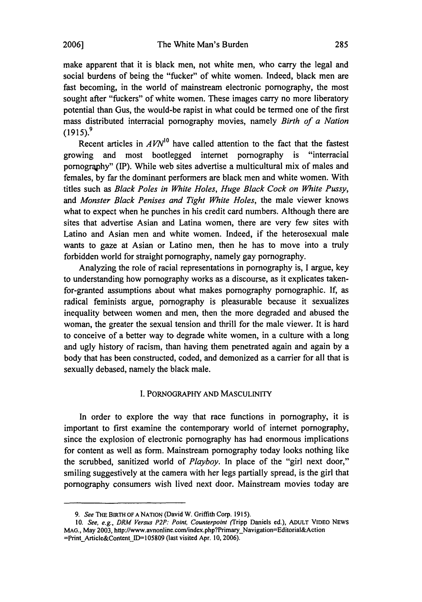make apparent that it is black men, not white men, who carry the legal and social burdens of being the "fucker" of white women. Indeed, black men are fast becoming, in the world of mainstream electronic pornography, the most sought after "fuckers" of white women. These images carry no more liberatory potential than Gus, the would-be rapist in what could be termed one of the first mass distributed interracial pornography movies, namely *Birth of a Nation*  $(1915)^9$ 

Recent articles in  $AVN^{10}$  have called attention to the fact that the fastest growing and most bootlegged internet pornography is "interracial pornography" (IP). While web sites advertise a multicultural mix of males and females, by far the dominant performers are black men and white women. With titles such as *Black Poles in White Holes, Huge Black Cock on White Pussy, and Monster Black Penises and Tight White Holes,* the male viewer knows what to expect when he punches in his credit card numbers. Although there are sites that advertise Asian and Latina women, there are very few sites with Latino and Asian men and white women. Indeed, if the heterosexual male wants to gaze at Asian or Latino men, then he has to move into a truly forbidden world for straight pornography, namely gay pornography.

Analyzing the role of racial representations in pornography is, I argue, key to understanding how pornography works as a discourse, as it explicates takenfor-granted assumptions about what makes pornography pornographic. If, as radical feminists argue, pornography is pleasurable because it sexualizes inequality between women and men, then the more degraded and abused the woman, the greater the sexual tension and thrill for the male viewer. It is hard to conceive of a better way **to** degrade white women, in a culture with a long and ugly history of racism, than having them penetrated again and again by a body that has been constructed, coded, and demonized as a carrier for all that is sexually debased, namely the black male.

#### **I.** PORNOGRAPHY **AND** MASCULINITY

In order to explore the way that race functions in pornography, it is important to first examine the contemporary world of internet pornography, since the explosion of electronic pornography has had enormous implications for content as well as form. Mainstream pornography today looks nothing like the scrubbed, sanitized world of *Playboy.* In place of the "girl next door," smiling suggestively at the camera with her legs partially spread, is the girl that pornography consumers wish lived next door. Mainstream movies today are

*<sup>9.</sup> See* THE BIRTH OF A **NATION** (David W. Griffith Corp. **1915).**

<sup>10.</sup> *See, e.g., DRM Versus P2P: Point, Counterpoint* (Tripp Daniels ed.), ADULT VIDEO NEWS MAG., May 2003, http://www.avnonline.com/index.php?Primary\_Navigation=Editorial&Action =Print\_Article&Content\_lD=105809 (last visited Apr. 10, 2006).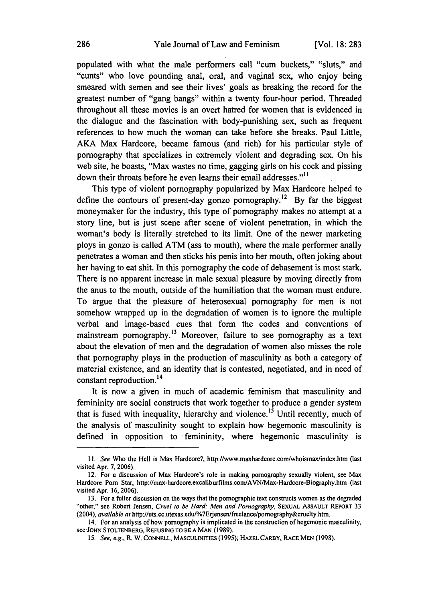populated with what the male performers call "cum buckets," "sluts," and "cunts" who love pounding anal, oral, and vaginal sex, who enjoy being smeared with semen and see their lives' goals as breaking the record for the greatest number of "gang bangs" within a twenty four-hour period. Threaded throughout all these movies is an overt hatred for women that is evidenced in the dialogue and the fascination with body-punishing sex, such as frequent references to how much the woman can take before she breaks. Paul Little, AKA Max Hardcore, became famous (and rich) for his particular style of pornography that specializes in extremely violent and degrading sex. On his web site, he boasts, "Max wastes no time, gagging girls on his cock and pissing down their throats before he even learns their email addresses."<sup>11</sup>

This type of violent pornography popularized by Max Hardcore helped to define the contours of present-day gonzo pornography.<sup>12</sup> By far the biggest moneymaker for the industry, this type of pornography makes no attempt at a story line, but is just scene after scene of violent penetration, in which the woman's body is literally stretched to its limit. One of the newer marketing ploys in gonzo is called ATM (ass to mouth), where the male performer anally penetrates a woman and then sticks his penis into her mouth, often joking about her having to eat shit. In this pornography the code of debasement is most stark. There is no apparent increase in male sexual pleasure by moving directly from the anus to the mouth, outside of the humiliation that the woman must endure. To argue that the pleasure of heterosexual pornography for men is not somehow wrapped up in the degradation of women is to ignore the multiple verbal and image-based cues that form the codes and conventions of mainstream pornography.<sup>13</sup> Moreover, failure to see pornography as a text about the elevation of men and the degradation of women also misses the role that pornography plays in the production of masculinity as both a category of material existence, and an identity that is contested, negotiated, and in need of constant reproduction.<sup>14</sup>

It is now a given in much of academic feminism that masculinity and femininity are social constructs that work together to produce a gender system that is fused with inequality, hierarchy and violence.<sup>15</sup> Until recently, much of the analysis of masculinity sought to explain how hegemonic masculinity is defined in opposition to femininity, where hegemonic masculinity is

*<sup>11.</sup> See* Who the Hell is Max Hardcore?, http://www.maxhardcore.con/whoismax/index.htm (last visited Apr. 7, 2006).

<sup>12.</sup> For a discussion of Max Hardcore's role in making pornography sexually violent, see Max Hardcore Porn Star, http://max-hardcore.excaliburfilms.comIAVN/Max-Hardcore-Biography.htm (last visited Apr. 16, 2006).

<sup>13.</sup> For a fuller discussion on the ways that the pornographic text constructs women as the degraded "other," see Robert Jensen, *Cruel to be Hard: Men and Pornography,* SEXUAL ASSAULT REPORT 33 (2004), *available at* http://uts.cc.utexas.edu/%7Erjensen/freelance/pornography&cruelty.htm.

<sup>14.</sup> For an analysis of how pornography is implicated in the construction of hegemonic masculinity, see JomN **STOLTENBERG, REFUSING** TO BE **A** MAN (1989).

*<sup>15.</sup> See, e.g.,* R. W. CONNELL, MASCULINITIES (1995); HAZEL CARBY, RACE **MEN** (1998).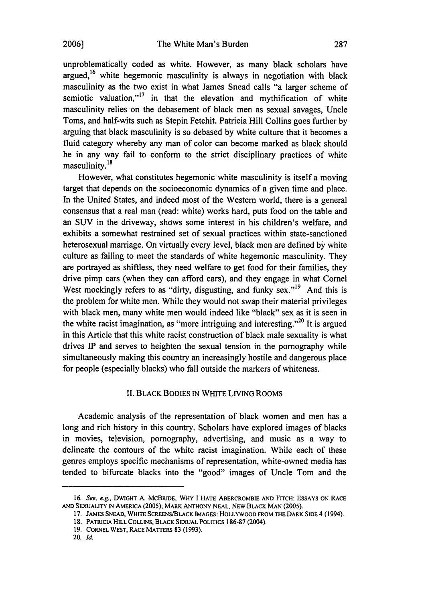The White Man's Burden

unproblematically coded as white. However, as many black scholars have argued, $16$  white hegemonic masculinity is always in negotiation with black masculinity as the two exist in what James Snead calls "a larger scheme of semiotic valuation,"<sup>17</sup> in that the elevation and mythification of white masculinity relies on the debasement of black men as sexual savages, Uncle Toms, and half-wits such as Stepin Fetchit. Patricia Hill Collins goes further by arguing that black masculinity is so debased by white culture that it becomes a fluid category whereby any man of color can become marked as black should he in any way fail to conform to the strict disciplinary practices of white masculinity. **<sup>18</sup>**

However, what constitutes hegemonic white masculinity is itself a moving target that depends on the socioeconomic dynamics of a given time and place. In the United States, and indeed most of the Western world, there is a general consensus that a real man (read: white) works hard, puts food on the table and an SUV in the driveway, shows some interest in his children's welfare, and exhibits a somewhat restrained set of sexual practices within state-sanctioned heterosexual marriage. On virtually every level, black men are defined by white culture as failing to meet the standards of white hegemonic masculinity. They are portrayed as shiftless, they need welfare to get food for their families, they drive pimp cars (when they can afford cars), and they engage in what Cornel West mockingly refers to as "dirty, disgusting, and funky sex."<sup>19</sup> And this is the problem for white men. While they would not swap their material privileges with black men, many white men would indeed like "black" sex as it is seen in the white racist imagination, as "more intriguing and interesting." 20 It is argued in this Article that this white racist construction of black male sexuality is what drives IP and serves to heighten the sexual tension in the pornography while simultaneously making this country an increasingly hostile and dangerous place for people (especially blacks) who fall outside the markers of whiteness.

#### II. BLACK BODIES **IN** WHITE LIVING ROOMS

Academic analysis of the representation of black women and men has a long and rich history in this country. Scholars have explored images of blacks in movies, television, pornography, advertising, and music as a way to delineate the contours of the white racist imagination. While each of these genres employs specific mechanisms of representation, white-owned media has tended to bifurcate blacks into the "good" images of Uncle Tom and the

*<sup>16.</sup> See, e.g.,* DWIGHT **A. MCBRIDE, WHY I HATE** ABERCROMBIE **AND** FITCH: **ESSAYS ON** RACE **AND SEXUALITY IN** AMERICA **(2005);** MARK **ANTHONY NEAL,** NEW BLACK **MAN (2005).**

**<sup>17.</sup> JAMES SNEAD,** WHITE SCREENS/BLACK **IMAGES:** HOLLYWOOD FROM **THE** DARK **SIDE** 4 (1994).

**<sup>18.</sup>** PATRICIA HILL COLLINS, BLACK **SEXUAL POLITICS 186-87** (2004).

**<sup>19.</sup>** CORNEL WEST, RACE MATTERS 83 (1993).

**<sup>20.</sup>** *Id.*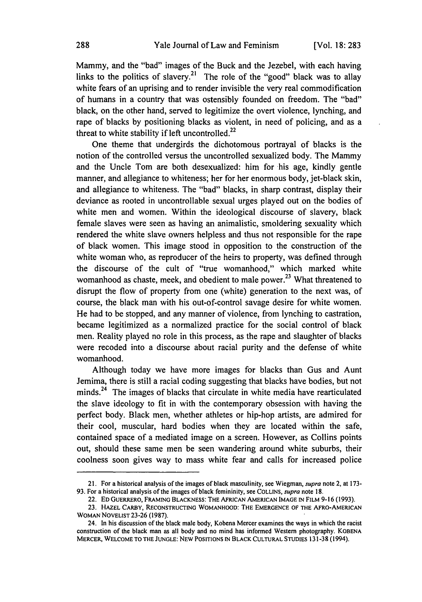Mammy, and the "bad" images of the Buck and the Jezebel, with each having links to the politics of slavery.<sup>21</sup> The role of the "good" black was to allay white fears of an uprising and to render invisible the very real commodification of humans in a country that was ostensibly founded on freedom. The "bad" black, on the other hand, served to legitimize the overt violence, lynching, and rape of blacks by positioning blacks as violent, in need of policing, and as a threat to white stability if left uncontrolled. $^{22}$ 

One theme that undergirds the dichotomous portrayal of blacks is the notion of the controlled versus the uncontrolled sexualized body. The Mammy and the Uncle Tom are both desexualized: him for his age, kindly gentle manner, and allegiance to whiteness; her for her enormous body, jet-black skin, and allegiance to whiteness. The "bad" blacks, in sharp contrast, display their deviance as rooted in uncontrollable sexual urges played out on the bodies of white men and women. Within the ideological discourse of slavery, black female slaves were seen as having an animalistic, smoldering sexuality which rendered the white slave owners helpless and thus not responsible for the rape of black women. This image stood in opposition to the construction of the white woman who, as reproducer of the heirs to property, was defined through the discourse of the cult of "true womanhood," which marked white womanhood as chaste, meek, and obedient to male power.<sup>23</sup> What threatened to disrupt the flow of property from one (white) generation to the next was, of course, the black man with his out-of-control savage desire for white women. He had to be stopped, and any manner of violence, from lynching to castration, became legitimized as a normalized practice for the social control of black men. Reality played no role in this process, as the rape and slaughter of blacks were recoded into a discourse about racial purity and the defense of white womanhood.

Although today we have more images for blacks than Gus and Aunt Jemima, there is still a racial coding suggesting that blacks have bodies, but not minds.<sup>24</sup> The images of blacks that circulate in white media have rearticulated the slave ideology to fit in with the contemporary obsession with having the perfect body. Black men, whether athletes or hip-hop artists, are admired for their cool, muscular, hard bodies when they are located within the safe, contained space of a mediated image on a screen. However, as Collins points out, should these same men be seen wandering around white suburbs, their coolness soon gives way to mass white fear and calls for increased police

<sup>21.</sup> For a historical analysis of the images of black masculinity, see Wiegman, *supra* note 2, at 173- 93. For a historical analysis of the images of black femininity, see COLLINS, *supra* note 18.

**<sup>22.</sup>** ED GUERRERO, FRAMING **BLACKNESS:** THE AFRICAN **AMERICAN IMAGE IN** FILM **9-16 (1993).**

**<sup>23.</sup>** HAZEL CARBY, **RECONSTRUCTING** WOMANHOOD: THE EMERGENCE OF THE AFRO-AMERCAN WOMAN **NOVELIST 23-26** (1987).

<sup>24.</sup> In his discussion of the black male body, Kobena Mercer examines the ways in which the racist construction of the black man as all body and no mind has informed Western photography. **KOBENA** MERCER, WELCOME TO THE **JUNGLE: NEW POSITIONS** IN BLACK **CULTURAL** STUDIES 131-38 (1994).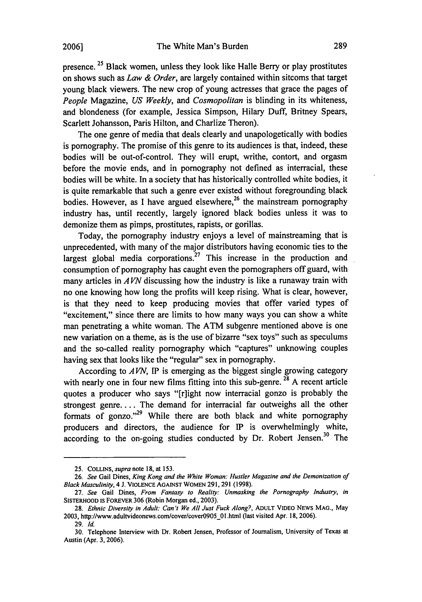presence.  $^{25}$  Black women, unless they look like Halle Berry or play prostitutes on shows such as *Law & Order,* are largely contained within sitcoms that target young black viewers. The new crop of young actresses that grace the pages of *People* Magazine, *US Weekly, and Cosmopolitan* is blinding in its whiteness, and blondeness (for example, Jessica Simpson, Hilary Duff, Britney Spears, Scarlett Johansson, Paris Hilton, and Charlize Theron).

The one genre of media that deals clearly and unapologetically with bodies is pornography. The promise of this genre to its audiences is that, indeed, these bodies will be out-of-control. They will erupt, writhe, contort, and orgasm before the movie ends, and in pornography not defined as interracial, these bodies will be white. In a society that has historically controlled white bodies, it is quite remarkable that such a genre ever existed without foregrounding black bodies. However, as I have argued elsewhere,<sup>26</sup> the mainstream pornography industry has, until recently, largely ignored black bodies unless it was to demonize them as pimps, prostitutes, rapists, or gorillas.

Today, the pornography industry enjoys a level of mainstreaming that is unprecedented, with many of the major distributors having economic ties to the largest global media corporations.<sup>27</sup> This increase in the production and consumption of pornography has caught even the pornographers off guard, with many articles in *A VN* discussing how the industry is like a runaway train with no one knowing how long the profits will keep rising. What is clear, however, is that they need to keep producing movies that offer varied types of "excitement." since there are limits to how many ways you can show a white man penetrating a white woman. The ATM subgenre mentioned above is one new variation on a theme, as is the use of bizarre "sex toys" such as speculums and the so-called reality pornography which "captures" unknowing couples having sex that looks like the "regular" sex in pornography.

According to *A VN,* IP is emerging as the biggest single growing category with nearly one in four new films fitting into this sub-genre.<sup>28</sup> A recent article quotes a producer who says "[r]ight now interracial gonzo is probably the strongest genre.... The demand for interracial far outweighs all the other formats of gonzo."<sup>29</sup> While there are both black and white pornography producers and directors, the audience for IP is overwhelmingly white, according to the on-going studies conducted by Dr. Robert Jensen.<sup>30</sup> The

**<sup>25.</sup> COLLINS,** *supra* note **18, at 153.**

**<sup>26.</sup>** *See* Gail Dines, *King Kong and the White Woman: Hustler Magazine and the Demonization of Black Masculinity,* 4 J. **VIOLENCE AGAINST** WoMEN 291, 291 (1998).

**<sup>27.</sup>** *See* Gail Dines, *From Fantasy to* Reality: *Unmasking the Pornography Industry, in* SISTERHOOD IS **FOREVER** 306 (Robin Morgan ed., 2003).

<sup>28.</sup> *Ethnic Diversity in Adult: Can't We All Just Fuck Along?,* **ADULT** VIDEO NEWS **MAG.,** May 2003, http://www.adultvideonews.com/cover/cover0905\_0l.html (last visited Apr. 18, 2006).

<sup>29.</sup> *Id.*

<sup>30.</sup> Telephone Interview with Dr. Robert Jensen, Professor of Journalism, University of Texas at Austin (Apr. 3, 2006).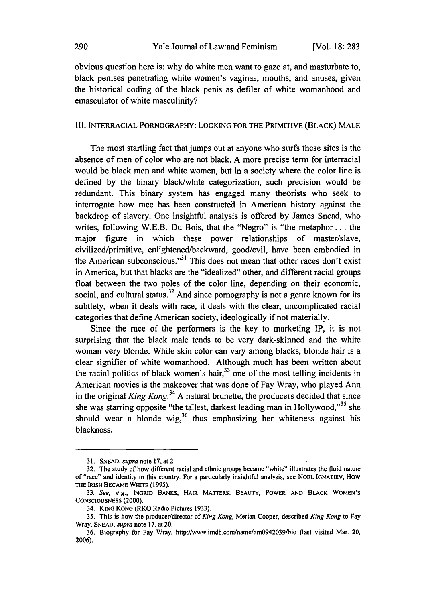obvious question here is: why do white men want to gaze at, and masturbate to, black penises penetrating white women's vaginas, mouths, and anuses, given the historical coding of the black penis as defiler of white womanhood and emasculator of white masculinity?

## III. INTERRACIAL PORNOGRAPHY: LOOKING FOR THE PRIMITIVE (BLACK) MALE

The most startling fact that jumps out at anyone who surfs these sites is the absence of men of color who are not black. A more precise term for interracial would be black men and white women, but in a society where the color line is defined by the binary black/white categorization, such precision would be redundant. This binary system has engaged many theorists who seek to interrogate how race has been constructed in American history against the backdrop of slavery. One insightful analysis is offered by James Snead, who writes, following W.E.B. Du Bois, that the "Negro" is "the metaphor... the major figure in which these power relationships of master/slave, civilized/primitive, enlightened/backward, good/evil, have been embodied in the American subconscious."<sup>31</sup> This does not mean that other races don't exist in America, but that blacks are the "idealized" other, and different racial groups float between the two poles of the color line, depending on their economic, social, and cultural status.<sup>32</sup> And since pornography is not a genre known for its subtlety, when it deals with race, it deals with the clear, uncomplicated racial categories that define American society, ideologically if not materially.

Since the race of the performers is the key to marketing IP, it is not surprising that the black male tends to be very dark-skinned and the white woman very blonde. While skin color can vary among blacks, blonde hair is a clear signifier of white womanhood. Although much has been written about the racial politics of black women's hair, $33$  one of the most telling incidents in American movies is the makeover that was done of Fay Wray, who played Ann in the original *King Kong.34* A natural brunette, the producers decided that since she was starring opposite "the tallest, darkest leading man in Hollywood,"<sup>35</sup> she should wear a blonde wig,<sup>36</sup> thus emphasizing her whiteness against his blackness.

<sup>31.</sup> **SNEAD,** *supra* note **17,** at 2.

<sup>32.</sup> The study of how different racial and ethnic groups became "white" illustrates the fluid nature of "race" and identity in this country. For a particularly insightful analysis, see NOEL IGNATIEV, How **THE** IRISH BECAME WHITE (1995).

<sup>33.</sup> *See, e.g.,* INGRID BANKS, HAIR MATTERS: BEAUTY, POWER AND BLACK WOMEN'S CONSCIOUSNESS (2000).

<sup>34.</sup> KING KONG (RKO Radio Pictures 1933).

<sup>35.</sup> This is how the producer/director of *King Kong,* Merian Cooper, described *King Kong* to Fay Wray. SNEAD, *supra* note 17, at 20.

<sup>36.</sup> Biography for Fay Wray, http://www.imdb.com/name/nm0942039/bio (last visited Mar. 20, 2006).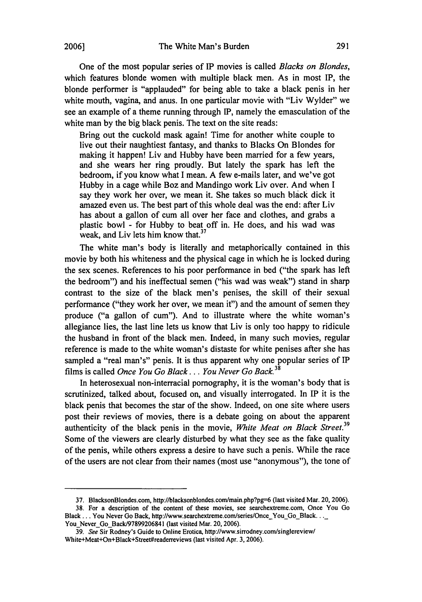One of the most popular series of IP movies is called *Blacks on Blondes,* which features blonde women with multiple black men. As in most IP, the blonde performer is "applauded" for being able to take a black penis in her white mouth, vagina, and anus. In one particular movie with "Liv Wylder" we see an example of a theme running through IP, namely the emasculation of the white man by the big black penis. The text on the site reads:

Bring out the cuckold mask again! Time for another white couple to live out their naughtiest fantasy, and thanks to Blacks On Blondes for making it happen! Liv and Hubby have been married for a few years, and she wears her ring proudly. But lately the spark has left the bedroom, if you know what I mean. A few e-mails later, and we've got Hubby in a cage while Boz and Mandingo work Liv over. And when I say they work her over, we mean it. She takes so much black dick it amazed even us. The best part of this whole deal was the end: after Liv has about a gallon of cum all over her face and clothes, and grabs a plastic bowl - for Hubby to beat off in. He does, and his wad was weak, and Liv lets him know that.<sup>37</sup>

The white man's body is literally and metaphorically contained in this movie by both his whiteness and the physical cage in which he is locked during the sex scenes. References to his poor performance in bed ("the spark has left the bedroom") and his ineffectual semen ("his wad was weak") stand in sharp contrast to the size of the black men's penises, the skill of their sexual performance ("they work her over, we mean it") and the amount of semen they produce ("a gallon of cum"). And to illustrate where the white woman's allegiance lies, the last line lets us know that Liv is only too happy to ridicule the husband in front of the black men. Indeed, in many such movies, regular reference is made to the white woman's distaste for white penises after she has sampled a "real man's" penis. It is thus apparent why one popular series of IP films is called *Once You Go Black... You Never Go Back.38*

In heterosexual non-interracial pornography, it is the woman's body that is scrutinized, talked about, focused on, and visually interrogated. In IP it is the black penis that becomes the star of the show. Indeed, on one site where users post their reviews of movies, there is a debate going on about the apparent authenticity of the black penis in the movie, *White Meat on Black Street.39* Some of the viewers are clearly disturbed by what they see as the fake quality of the penis, while others express a desire to have such a penis. While the race of the users are not clear from their names (most use "anonymous"), the tone of

**<sup>37.</sup>** BlacksonBlondes.com, http://blacksonblondes.com/main.php?pg-6 (last visited Mar. 20, 2006).

<sup>38.</sup> For a description of the content of these movies, see searchextreme.com, Once You Go Black... You Never Go Back, http://www.searchextreme.com/series/Once\_You\_Go\_Black...\_ You Never Go Back/97899206841 (last visited Mar. 20, 2006).

<sup>39.</sup> See Sir Rodney's Guide to Online Erotica, http://www.sirrodney.com/singlereview/ White+Meat+On+Black+Street#readerreviews (last visited Apr. **3,** 2006).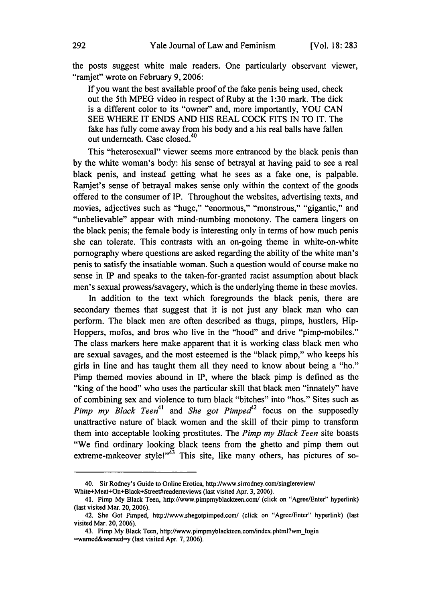the posts suggest white male readers. One particularly observant viewer, "ramjet" wrote on February 9, 2006:

If you want the best available proof of the fake penis being used, check out the 5th MPEG video in respect of Ruby at the 1:30 mark. The dick is a different color to its "owner" and, more importantly, YOU CAN SEE WHERE IT ENDS AND HIS REAL COCK FITS IN TO IT. The fake has fully come away from his body and a his real balls have fallen out underneath. Case closed.<sup>40</sup>

This "heterosexual" viewer seems more entranced by the black penis than by the white woman's body: his sense of betrayal at having paid to see a real black penis, and instead getting what he sees as a fake one, is palpable. Ramjet's sense of betrayal makes sense only within the context of the goods offered to the consumer of IP. Throughout the websites, advertising texts, and movies, adjectives such as "huge," "enormous," "monstrous," "gigantic," and "unbelievable" appear with mind-numbing monotony. The camera lingers on the black penis; the female body is interesting only in terms of how much penis she can tolerate. This contrasts with an on-going theme in white-on-white pornography where questions are asked regarding the ability of the white man's penis to satisfy the insatiable woman. Such a question would of course make no sense in IP and speaks to the taken-for-granted racist assumption about black men's sexual prowess/savagery, which is the underlying theme in these movies.

In addition to the text which foregrounds the black penis, there are secondary themes that suggest that it is not just any black man who can perform. The black men are often described as thugs, pimps, hustlers, Hip-Hoppers, mofos, and bros who live in the "hood" and drive "pimp-mobiles." The class markers here make apparent that it is working class black men who are sexual savages, and the most esteemed is the "black pimp," who keeps his girls in line and has taught them all they need to know about being a "ho." Pimp themed movies abound in IP, where the black pimp is defined as the "king of the hood" who uses the particular skill that black men "innately" have of combining sex and violence to turn black "bitches" into "hos." Sites such as *Pimp my Black Teen<sup>41</sup>* and *She got Pimped<sup>42</sup> focus on the supposedly* unattractive nature of black women and the skill of their pimp to transform them into acceptable looking prostitutes. The *Pimp my Black Teen* site boasts "We find ordinary looking black teens from the ghetto and pimp them out extreme-makeover style!" $43$  This site, like many others, has pictures of so-

<sup>40.</sup> Sir Rodney's Guide to Online Erotica, http://www.sirrodney.com/singlereview/ White+Meat+On+Black+street#readerreviews (last visited Apr. 3, 2006).

<sup>41.</sup> Pimp My Black Teen, http://www.pimpmyblackteen.com/ (click on "Agree/Enter" hyperlink) (last visited Mar. 20, 2006).

<sup>42.</sup> She Got Pimped, http://www.shegotpimped.com/ (click on "Agree/Enter" hyperlink) (last visited Mar. 20, 2006).

<sup>43.</sup> Pimp My Black Teen, http://www.pimpmyblackteen.com/index.phtml?wm-login =warned&warned=y (last visited Apr. 7, 2006).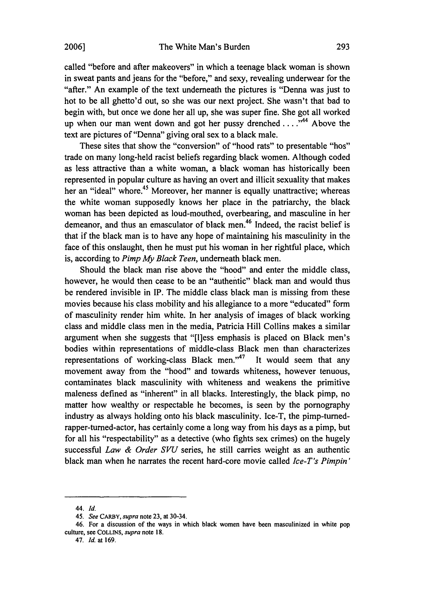called "before and after makeovers" in which a teenage black woman is shown in sweat pants and jeans for the "before," and sexy, revealing underwear for the "after." An example of the text underneath the pictures is "Denna was just to hot to be all ghetto'd out, so she was our next project. She wasn't that bad to begin with, but once we done her all up, she was super fine. She got all worked up when our man went down and got her pussy drenched  $\dots$ ...  $\frac{1}{100}$  Above the text are pictures of "Denna" giving oral sex to a black male.

These sites that show the "conversion" of "hood rats" to presentable "hos" trade on many long-held racist beliefs regarding black women. Although coded as less attractive than a white woman, a black woman has historically been represented in popular culture as having an overt and illicit sexuality that makes her an "ideal" whore.<sup>45</sup> Moreover, her manner is equally unattractive; whereas the white woman supposedly knows her place in the patriarchy, the black woman has been depicted as loud-mouthed, overbearing, and masculine in her demeanor, and thus an emasculator of black men.<sup>46</sup> Indeed, the racist belief is that if the black man is to have any hope of maintaining his masculinity in the face of this onslaught, then he must put his woman in her rightful place, which is, according to *Pimp My Black Teen,* underneath black men.

Should the black man rise above the "hood" and enter the middle class, however, he would then cease to be an "authentic" black man and would thus be rendered invisible in IP. The middle class black man is missing from these movies because his class mobility and his allegiance to a more "educated" form of masculinity render him white. In her analysis of images of black working class and middle class men in the media, Patricia Hill Collins makes a similar argument when she suggests that "[l]ess emphasis is placed on Black men's bodies within representations of middle-class Black men than characterizes representations of working-class Black men."<sup>47</sup> It would seem that any movement away from the "hood" and towards whiteness, however tenuous, contaminates black masculinity with whiteness and weakens the primitive maleness defined as "inherent" in all blacks. Interestingly, the black pimp, no matter how wealthy or respectable he becomes, is seen **by** the pornography industry as always holding onto his black masculinity. Ice-T, the pimp-turnedrapper-turned-actor, has certainly come a long way from his days as a pimp, but for all his "respectability" as a detective (who fights sex crimes) on the hugely successful *Law & Order SVU* series, he still carries weight as an authentic black man when he narrates the recent hard-core movie called *Ice-T's Pimpin'*

*<sup>44.</sup> Id.*

<sup>45.</sup> *See* CARBY, *supra* note **23,** at 30-34.

<sup>46.</sup> For a discussion of the ways in which black women have been masculinized in white pop culture, see COLLINS, *supra* note 18.

<sup>47.</sup> *Id.* at 169.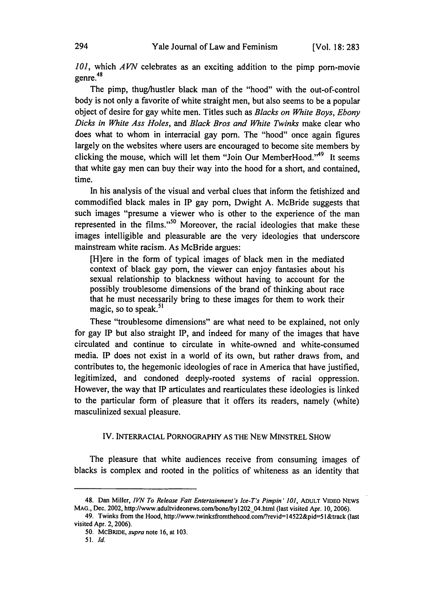*101,* which *AVN* celebrates as an exciting addition to the pimp porn-movie <sup>48</sup> genre.

The pimp, thug/hustler black man of the "hood" with the out-of-control body is not only a favorite of white straight men, but also seems to be a popular object of desire for gay white men. Titles such as *Blacks on White Boys, Ebony Dicks in White Ass Holes, and* Black *Bros* and White *Twinks* make clear who does what to whom in interracial gay porn. The "hood" once again figures largely on the websites where users are encouraged to become site members by clicking the mouse, which will let them "Join Our MemberHood."<sup>49</sup> It seems that white gay men can buy their way into the hood for a short, and contained, time.

In his analysis of the visual and verbal clues that inform the fetishized and commodified black males in IP gay porn, Dwight A. McBride suggests that such images "presume a viewer who is other to the experience of the man represented in the films."<sup>50</sup> Moreover, the racial ideologies that make these images intelligible and pleasurable are the very ideologies that underscore mainstream white racism. As McBride argues:

[H]ere in the form of typical images of black men in the mediated context of black gay porn, the viewer can enjoy fantasies about his sexual relationship to blackness without having to account for the possibly troublesome dimensions of the brand of thinking about race that he must necessarily bring to these images for them to work their magic, so to speak.<sup>51</sup>

These "troublesome dimensions" are what need to be explained, not only for gay IP but also straight IP, and indeed for many of the images that have circulated and continue to circulate in white-owned and white-consumed media. IP does not exist in a world of its own, but rather draws from, and contributes to, the hegemonic ideologies of race in America that have justified, legitimized, and condoned deeply-rooted systems of racial oppression. However, the way that IP articulates and rearticulates these ideologies is linked to the particular form of pleasure that it offers its readers, namely (white) masculinized sexual pleasure.

#### IV. INTERRACIAL PORNOGRAPHY AS THE NEW MINSTREL SHOW

The pleasure that white audiences receive from consuming images of blacks is complex and rooted in the politics of whiteness as an identity that

<sup>48.</sup> Dan Miller, *IVN To Release Fatt Entertainment's Ice-T's Pimpin' 101,* **ADULT** VIDEO **NEWS MAG.,** Dec. 2002, http://www.adultvideonews.com/bone/byl202\_04.html (last visited Apr. **10,** 2006).

<sup>49.</sup> Twinks from the Hood, http://www.twinksfromthehood.com/?revid=14522&pid=5 I&track (last visited Apr. 2, 2006).

<sup>50.</sup> McBRIDE, *supra* note 16, at 103.

<sup>51.</sup> *Id.*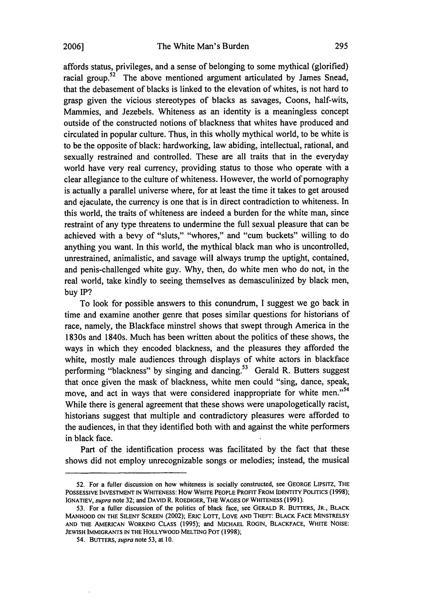affords status, privileges, and a sense of belonging to some mythical (glorified) racial group.<sup>52</sup> The above mentioned argument articulated by James Snead, that the debasement of blacks is linked to the elevation of whites, is not hard to grasp given the vicious stereotypes of blacks as savages, Coons, half-wits, Mammies, and Jezebels. Whiteness as an identity is a meaningless concept outside of the constructed notions of blackness that whites have produced and circulated in popular culture. Thus, in this wholly mythical world, to be white is to be the opposite of black: hardworking, law abiding, intellectual, rational, and sexually restrained and controlled. These are all traits that in the everyday world have very real currency, providing status to those who operate with a clear allegiance to the culture of whiteness. However, the world of pornography is actually a parallel universe where, for at least the time it takes to get aroused and ejaculate, the currency is one that is in direct contradiction to whiteness. In this world, the traits of whiteness are indeed a burden for the white man, since restraint of any type threatens to undermine the full sexual pleasure that can be achieved with a bevy of "sluts," "whores," and "cum buckets" willing to do anything you want. In this world, the mythical black man who is uncontrolled, unrestrained, animalistic, and savage will always trump the uptight, contained, and penis-challenged white guy. Why, then, do white men who do not, in the real world, take kindly to seeing themselves as demasculinized by black men, buy IP?

To look for possible answers to this conundrum, I suggest we go back in time and examine another genre that poses similar questions for historians of race, namely, the Blackface minstrel shows that swept through America in the 1830s and 1840s. Much has been written about the politics of these shows, the ways in which they encoded blackness, and the pleasures they afforded the white, mostly male audiences through displays of white actors in blackface performing "blackness" by singing and dancing.<sup>53</sup> Gerald R. Butters suggest that once given the mask of blackness, white men could "sing, dance, speak, move, and act in ways that were considered inappropriate for white men."<sup>54</sup> While there is general agreement that these shows were unapologetically racist, historians suggest that multiple and contradictory pleasures were afforded to the audiences, in that they identified both with and against the white performers in black face.

Part of the identification process was facilitated by the fact that these shows did not employ unrecognizable songs or melodies; instead, the musical

<sup>52.</sup> For a fuller discussion on how whiteness is socially constructed, see **GEORGE** LIPSITZ, THE POSSESSIVE **INVESTMENT IN WHITENESS:** How WHITE PEOPLE PROFIT FROM IDENTITY **POLITICS (1998); IGNATIEV,** *supra* note **32;** and **DAVID** R. ROEDIGER, THE **WAGES** OF **WHITENESS (1991).**

<sup>53.</sup> For a fuller discussion of the politics of black face, see **GERALD** R. BUTTERS, JR., BLACK **MANHOOD ON** THE **SILENT SCREEN** (2002); EIC LOTr, LOVE **AND** THEFT: BLACK **FACE MINSTRELSY AND** THE **AMERICAN** WORKING **CLASS (1995);** and **MICHAEL** ROGIN, **BLACKFACE,** WHITE NOISE: **JEWISH** IMMIGRANTS **IN** THE HOLLYWOOD **MELTING POT (1998);**

<sup>54.</sup> BUTTERS, *supra* note 53, at **10.**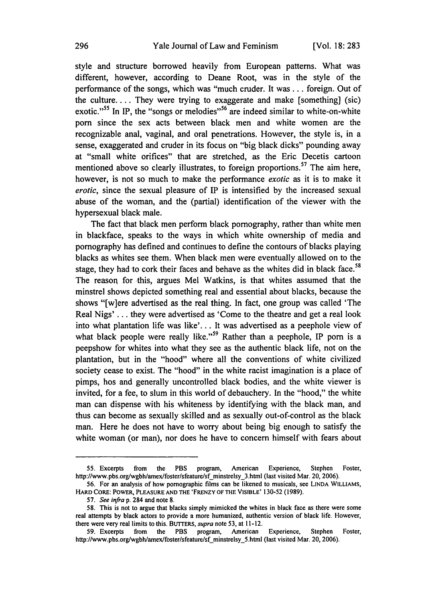style and structure borrowed heavily from European patterns. What was different, however, according to Deane Root, was in the style of the performance of the songs, which was "much cruder. It was... foreign. Out of the culture.... They were trying to exaggerate and make [something] (sic) exotic."<sup>55</sup> In IP, the "songs or melodies"<sup>56</sup> are indeed similar to white-on-white porn since the sex acts between black men and white women are the recognizable anal, vaginal, and oral penetrations. However, the style is, in a sense, exaggerated and cruder in its focus on "big black dicks" pounding away at "small white orifices" that are stretched, as the Eric Decetis cartoon mentioned above so clearly illustrates, to foreign proportions.<sup>57</sup> The aim here, however, is not so much to make the performance *exotic* as it is to make it *erotic,* since the sexual pleasure of IP is intensified by the increased sexual abuse of the woman, and the (partial) identification of the viewer with the hypersexual black male.

The fact that black men perform black pornography, rather than white men in blackface, speaks to the ways in which white ownership of media and pornography has defined and continues to define the contours of blacks playing blacks as whites see them. When black men were eventually allowed on to the stage, they had to cork their faces and behave as the whites did in black face.<sup>58</sup> The reason for this, argues Mel Watkins, is that whites assumed that the minstrel shows depicted something real and essential about blacks, because the shows "[w]ere advertised as the real thing. In fact, one group was called 'The Real Nigs' ... they were advertised as 'Come to the theatre and get a real look into what plantation life was like'... It was advertised as a peephole view of what black people were really like."<sup>59</sup> Rather than a peephole, IP porn is a peepshow for whites into what they see as the authentic black life, not on the plantation, but in the "hood" where all the conventions of white civilized society cease to exist. The "hood" in the white racist imagination is a place of pimps, hos and generally uncontrolled black bodies, and the white viewer is invited, for a fee, to slum in this world of debauchery. In the "hood," the white man can dispense with his whiteness by identifying with the black man, and thus can become as sexually skilled and as sexually out-of-control as the black man. Here he does not have to worry about being big enough to satisfy the white woman (or man), nor does he have to concern himself with fears about

**<sup>55.</sup>** Excerpts from the PBS program, American Experience, Stephen Foster, http://www.pbs.org/wgbh/amex/foster/sfeature/sf minstrelsy\_3.html (last visited Mar. 20, 2006).

<sup>56.</sup> For an analysis of how pornographic films can be likened to musicals, see **LINDA** WILLIAMS, HARD **CORE:** POWER, **PLEASURE AND** THE 'FRENZY OF **THE VISIBLE'** 130-52(1989).

<sup>57.</sup> See infra **p.** 284 and note **8.**

<sup>58.</sup> This is not to argue that blacks simply mimicked the whites in black face as there were some real attempts by black actors to provide a more humanized, authentic version of black life. However, there were very real limits to this. BUTTERS, supra note 53, at 11-12.

**<sup>59.</sup>** Excerpts from the PBS program, American Experience, Stephen Foster, http://www.pbs.org/wgbh/amex/foster/sfeature/sf minstrelsy\_5.html (last visited Mar. 20, 2006).